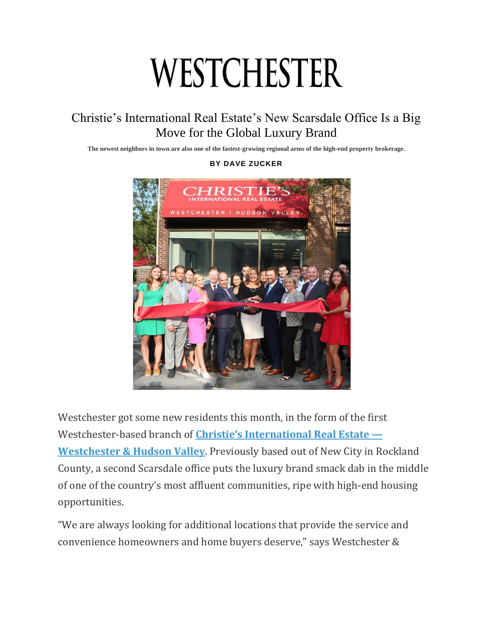## WESTCHESTER

## Christie's International Real Estate's New Scarsdale Office Is a Big Move for the Global Luxury Brand

**The newest neighbors in town are also one of the fastest-growing regional arms of the high-end property brokerage.**



**BY DAVE ZUCKER**

Westchester got some new residents this month, in the form of the first Westchester-based branch of **[Christie's International Real Estate —](https://www.christiesrealestate.com/westchester/) [Westchester & Hudson Valley](https://www.christiesrealestate.com/westchester/)**. Previously based out of New City in Rockland County, a second Scarsdale office puts the luxury brand smack dab in the middle of one of the country's most affluent communities, ripe with high-end housing opportunities.

"We are always looking for additional locations that provide the service and convenience homeowners and home buyers deserve," says Westchester &